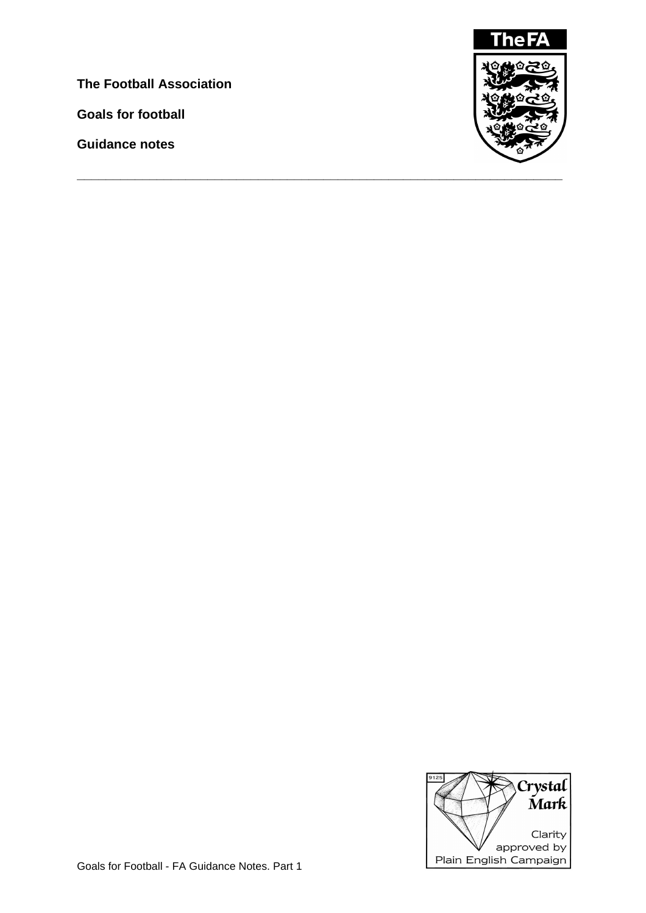**The Football Association**

**Goals for football**

**Guidance notes**



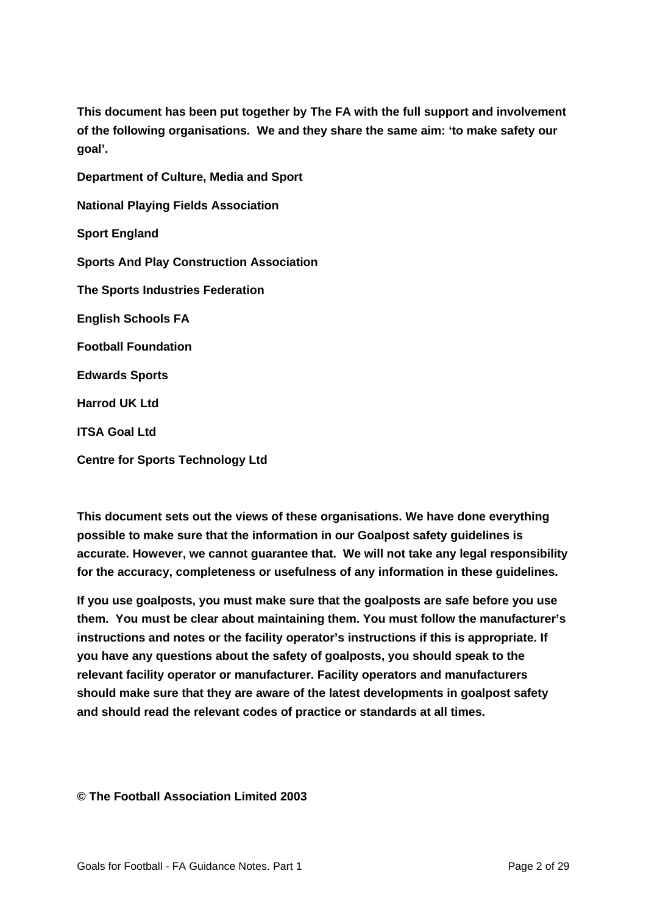**This document has been put together by The FA with the full support and involvement of the following organisations. We and they share the same aim: 'to make safety our goal'.**

**Department of Culture, Media and Sport National Playing Fields Association Sport England Sports And Play Construction Association The Sports Industries Federation English Schools FA Football Foundation Edwards Sports Harrod UK Ltd ITSA Goal Ltd**

**Centre for Sports Technology Ltd**

**This document sets out the views of these organisations. We have done everything possible to make sure that the information in our Goalpost safety guidelines is accurate. However, we cannot guarantee that. We will not take any legal responsibility for the accuracy, completeness or usefulness of any information in these guidelines.**

**If you use goalposts, you must make sure that the goalposts are safe before you use them. You must be clear about maintaining them. You must follow the manufacturer's instructions and notes or the facility operator's instructions if this is appropriate. If you have any questions about the safety of goalposts, you should speak to the relevant facility operator or manufacturer. Facility operators and manufacturers should make sure that they are aware of the latest developments in goalpost safety and should read the relevant codes of practice or standards at all times.**

**© The Football Association Limited 2003**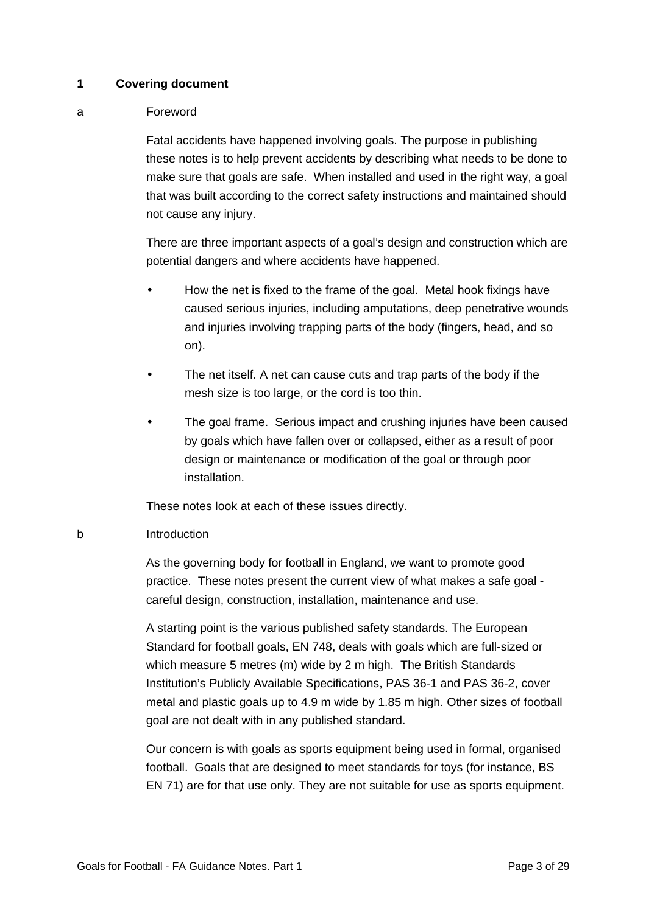## **1 Covering document**

## a Foreword

Fatal accidents have happened involving goals. The purpose in publishing these notes is to help prevent accidents by describing what needs to be done to make sure that goals are safe. When installed and used in the right way, a goal that was built according to the correct safety instructions and maintained should not cause any injury.

There are three important aspects of a goal's design and construction which are potential dangers and where accidents have happened.

- How the net is fixed to the frame of the goal. Metal hook fixings have caused serious injuries, including amputations, deep penetrative wounds and injuries involving trapping parts of the body (fingers, head, and so on).
- The net itself. A net can cause cuts and trap parts of the body if the mesh size is too large, or the cord is too thin.
- The goal frame. Serious impact and crushing injuries have been caused by goals which have fallen over or collapsed, either as a result of poor design or maintenance or modification of the goal or through poor installation.

These notes look at each of these issues directly.

# b Introduction

As the governing body for football in England, we want to promote good practice. These notes present the current view of what makes a safe goal careful design, construction, installation, maintenance and use.

A starting point is the various published safety standards. The European Standard for football goals, EN 748, deals with goals which are full-sized or which measure 5 metres (m) wide by 2 m high. The British Standards Institution's Publicly Available Specifications, PAS 36-1 and PAS 36-2, cover metal and plastic goals up to 4.9 m wide by 1.85 m high. Other sizes of football goal are not dealt with in any published standard.

Our concern is with goals as sports equipment being used in formal, organised football. Goals that are designed to meet standards for toys (for instance, BS EN 71) are for that use only. They are not suitable for use as sports equipment.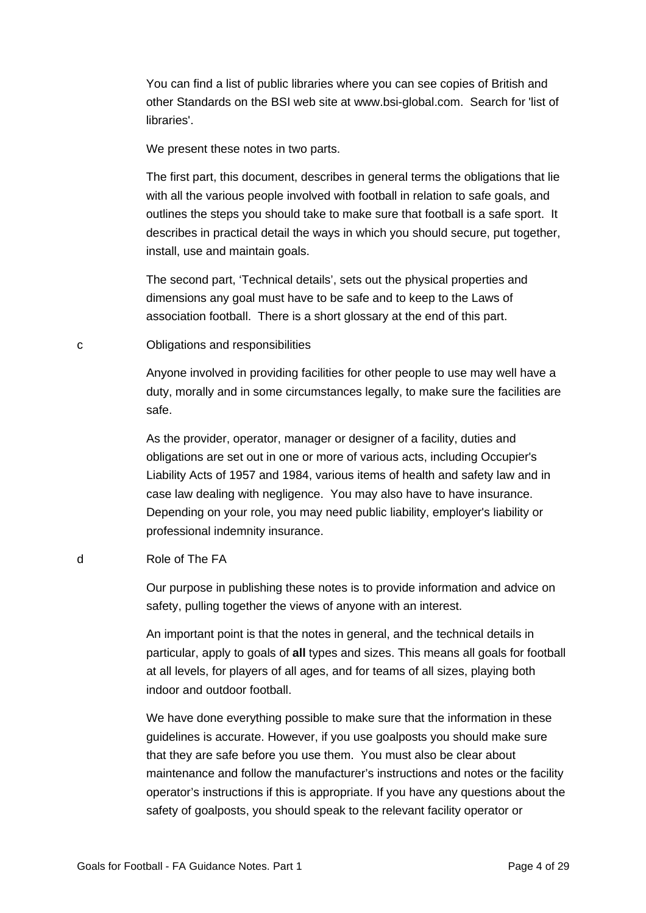You can find a list of public libraries where you can see copies of British and other Standards on the BSI web site at www.bsi-global.com. Search for 'list of libraries'.

We present these notes in two parts.

The first part, this document, describes in general terms the obligations that lie with all the various people involved with football in relation to safe goals, and outlines the steps you should take to make sure that football is a safe sport. It describes in practical detail the ways in which you should secure, put together, install, use and maintain goals.

The second part, 'Technical details', sets out the physical properties and dimensions any goal must have to be safe and to keep to the Laws of association football. There is a short glossary at the end of this part.

c Obligations and responsibilities

Anyone involved in providing facilities for other people to use may well have a duty, morally and in some circumstances legally, to make sure the facilities are safe.

As the provider, operator, manager or designer of a facility, duties and obligations are set out in one or more of various acts, including Occupier's Liability Acts of 1957 and 1984, various items of health and safety law and in case law dealing with negligence. You may also have to have insurance. Depending on your role, you may need public liability, employer's liability or professional indemnity insurance.

d Role of The FA

Our purpose in publishing these notes is to provide information and advice on safety, pulling together the views of anyone with an interest.

An important point is that the notes in general, and the technical details in particular, apply to goals of **all** types and sizes. This means all goals for football at all levels, for players of all ages, and for teams of all sizes, playing both indoor and outdoor football.

We have done everything possible to make sure that the information in these guidelines is accurate. However, if you use goalposts you should make sure that they are safe before you use them. You must also be clear about maintenance and follow the manufacturer's instructions and notes or the facility operator's instructions if this is appropriate. If you have any questions about the safety of goalposts, you should speak to the relevant facility operator or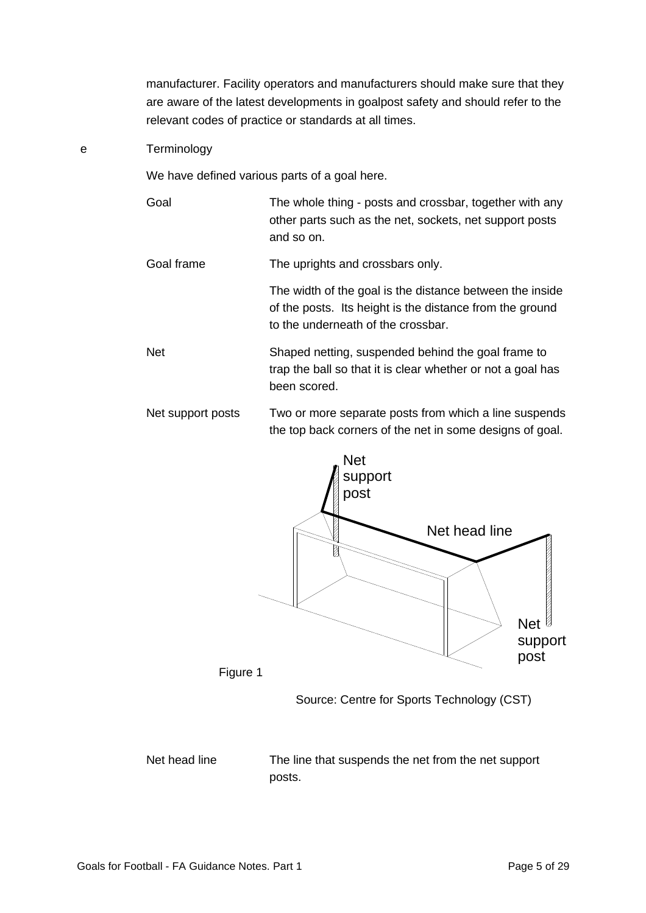manufacturer. Facility operators and manufacturers should make sure that they are aware of the latest developments in goalpost safety and should refer to the relevant codes of practice or standards at all times.

#### e Terminology

We have defined various parts of a goal here.

Goal The whole thing - posts and crossbar, together with any other parts such as the net, sockets, net support posts and so on.

Goal frame The uprights and crossbars only.

The width of the goal is the distance between the inside of the posts. Its height is the distance from the ground to the underneath of the crossbar.

- Net Shaped netting, suspended behind the goal frame to trap the ball so that it is clear whether or not a goal has been scored.
- Net support posts Two or more separate posts from which a line suspends the top back corners of the net in some designs of goal.



Source: Centre for Sports Technology (CST)

Net head line The line that suspends the net from the net support posts.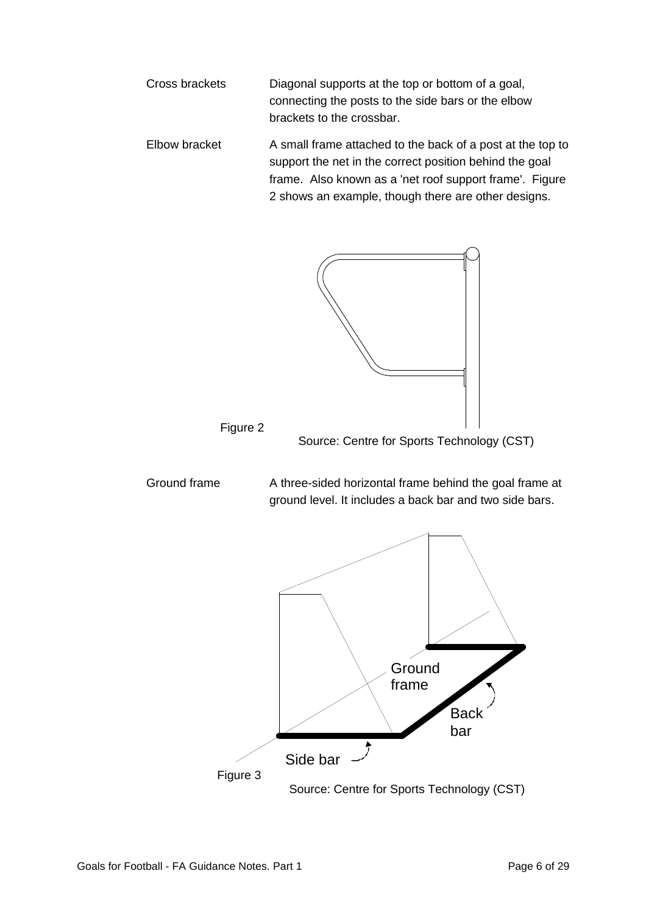

Ground frame A three-sided horizontal frame behind the goal frame at ground level. It includes a back bar and two side bars. Figure 2 Source: Centre for Sports Technology (CST) **Ground** frame Back

Source: Centre for Sports Technology (CST)

bar

Figure 3

Side bar -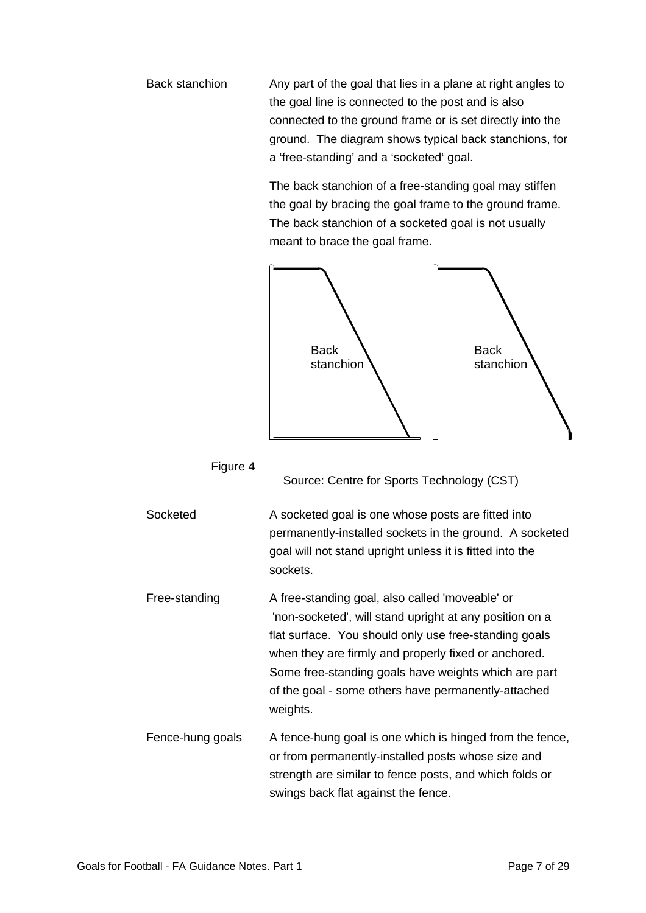Back stanchion Any part of the goal that lies in a plane at right angles to the goal line is connected to the post and is also connected to the ground frame or is set directly into the ground. The diagram shows typical back stanchions, for a 'free-standing' and a 'socketed' goal.

> The back stanchion of a free-standing goal may stiffen the goal by bracing the goal frame to the ground frame. The back stanchion of a socketed goal is not usually meant to brace the goal frame.



## Figure 4

Source: Centre for Sports Technology (CST)

Socketed A socketed goal is one whose posts are fitted into permanently-installed sockets in the ground. A socketed goal will not stand upright unless it is fitted into the sockets.

Free-standing A free-standing goal, also called 'moveable' or 'non-socketed', will stand upright at any position on a flat surface. You should only use free-standing goals when they are firmly and properly fixed or anchored. Some free-standing goals have weights which are part of the goal - some others have permanently-attached weights.

Fence-hung goals A fence-hung goal is one which is hinged from the fence, or from permanently-installed posts whose size and strength are similar to fence posts, and which folds or swings back flat against the fence.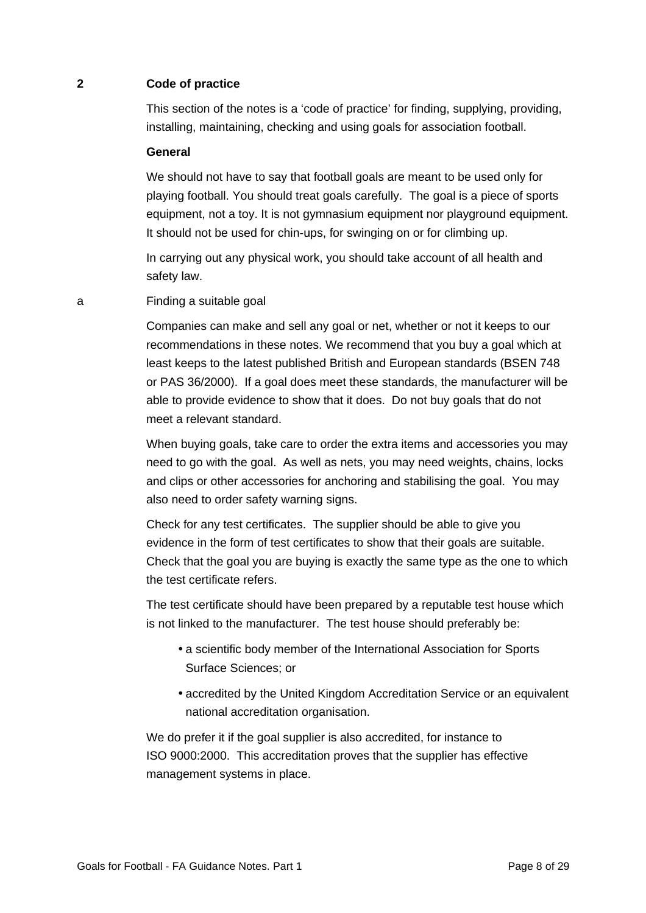## **2 Code of practice**

This section of the notes is a 'code of practice' for finding, supplying, providing, installing, maintaining, checking and using goals for association football.

#### **General**

We should not have to say that football goals are meant to be used only for playing football. You should treat goals carefully. The goal is a piece of sports equipment, not a toy. It is not gymnasium equipment nor playground equipment. It should not be used for chin-ups, for swinging on or for climbing up.

In carrying out any physical work, you should take account of all health and safety law.

a Finding a suitable goal

Companies can make and sell any goal or net, whether or not it keeps to our recommendations in these notes. We recommend that you buy a goal which at least keeps to the latest published British and European standards (BSEN 748 or PAS 36/2000). If a goal does meet these standards, the manufacturer will be able to provide evidence to show that it does. Do not buy goals that do not meet a relevant standard.

When buying goals, take care to order the extra items and accessories you may need to go with the goal. As well as nets, you may need weights, chains, locks and clips or other accessories for anchoring and stabilising the goal. You may also need to order safety warning signs.

Check for any test certificates. The supplier should be able to give you evidence in the form of test certificates to show that their goals are suitable. Check that the goal you are buying is exactly the same type as the one to which the test certificate refers.

The test certificate should have been prepared by a reputable test house which is not linked to the manufacturer. The test house should preferably be:

- a scientific body member of the International Association for Sports Surface Sciences; or
- accredited by the United Kingdom Accreditation Service or an equivalent national accreditation organisation.

We do prefer it if the goal supplier is also accredited, for instance to ISO 9000:2000. This accreditation proves that the supplier has effective management systems in place.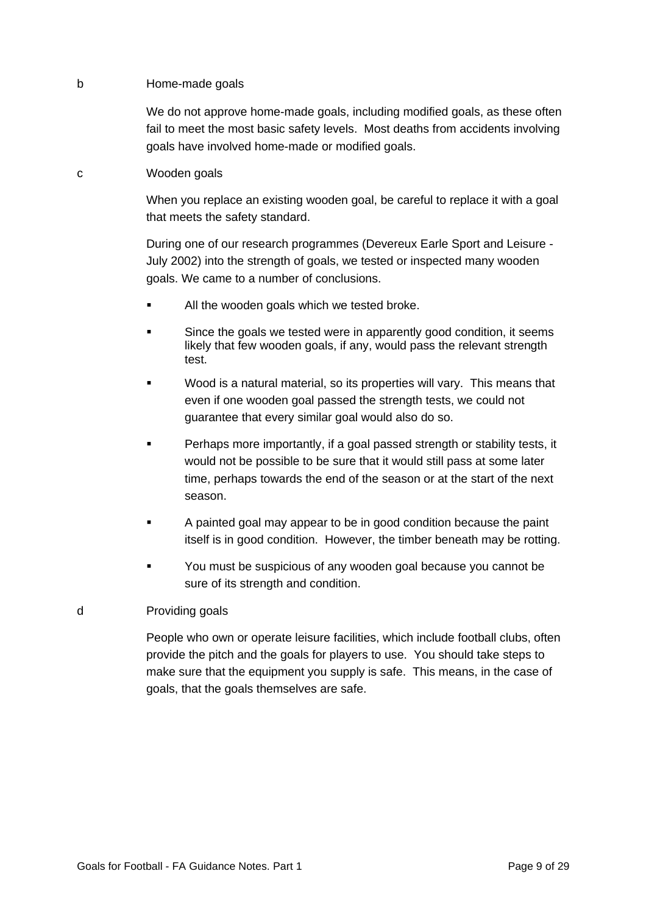## b Home-made goals

We do not approve home-made goals, including modified goals, as these often fail to meet the most basic safety levels. Most deaths from accidents involving goals have involved home-made or modified goals.

#### c Wooden goals

When you replace an existing wooden goal, be careful to replace it with a goal that meets the safety standard.

During one of our research programmes (Devereux Earle Sport and Leisure - July 2002) into the strength of goals, we tested or inspected many wooden goals. We came to a number of conclusions.

- All the wooden goals which we tested broke.
- Since the goals we tested were in apparently good condition, it seems likely that few wooden goals, if any, would pass the relevant strength test.
- ß Wood is a natural material, so its properties will vary. This means that even if one wooden goal passed the strength tests, we could not guarantee that every similar goal would also do so.
- ß Perhaps more importantly, if a goal passed strength or stability tests, it would not be possible to be sure that it would still pass at some later time, perhaps towards the end of the season or at the start of the next season.
- ß A painted goal may appear to be in good condition because the paint itself is in good condition. However, the timber beneath may be rotting.
- ß You must be suspicious of any wooden goal because you cannot be sure of its strength and condition.

## d Providing goals

People who own or operate leisure facilities, which include football clubs, often provide the pitch and the goals for players to use. You should take steps to make sure that the equipment you supply is safe. This means, in the case of goals, that the goals themselves are safe.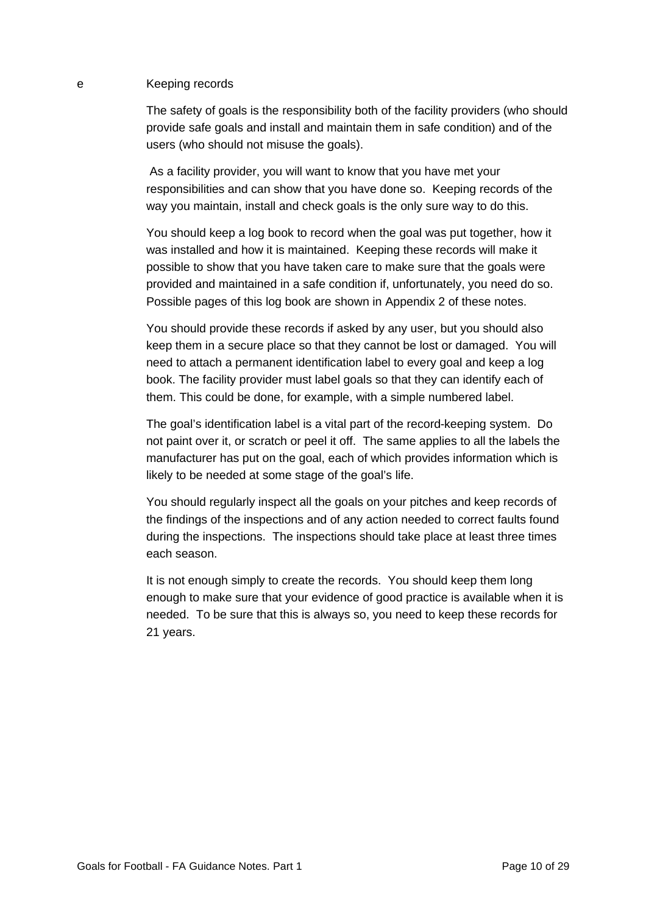# e Keeping records

The safety of goals is the responsibility both of the facility providers (who should provide safe goals and install and maintain them in safe condition) and of the users (who should not misuse the goals).

 As a facility provider, you will want to know that you have met your responsibilities and can show that you have done so. Keeping records of the way you maintain, install and check goals is the only sure way to do this.

You should keep a log book to record when the goal was put together, how it was installed and how it is maintained. Keeping these records will make it possible to show that you have taken care to make sure that the goals were provided and maintained in a safe condition if, unfortunately, you need do so. Possible pages of this log book are shown in Appendix 2 of these notes.

You should provide these records if asked by any user, but you should also keep them in a secure place so that they cannot be lost or damaged. You will need to attach a permanent identification label to every goal and keep a log book. The facility provider must label goals so that they can identify each of them. This could be done, for example, with a simple numbered label.

The goal's identification label is a vital part of the record-keeping system. Do not paint over it, or scratch or peel it off. The same applies to all the labels the manufacturer has put on the goal, each of which provides information which is likely to be needed at some stage of the goal's life.

You should regularly inspect all the goals on your pitches and keep records of the findings of the inspections and of any action needed to correct faults found during the inspections. The inspections should take place at least three times each season.

It is not enough simply to create the records. You should keep them long enough to make sure that your evidence of good practice is available when it is needed. To be sure that this is always so, you need to keep these records for 21 years.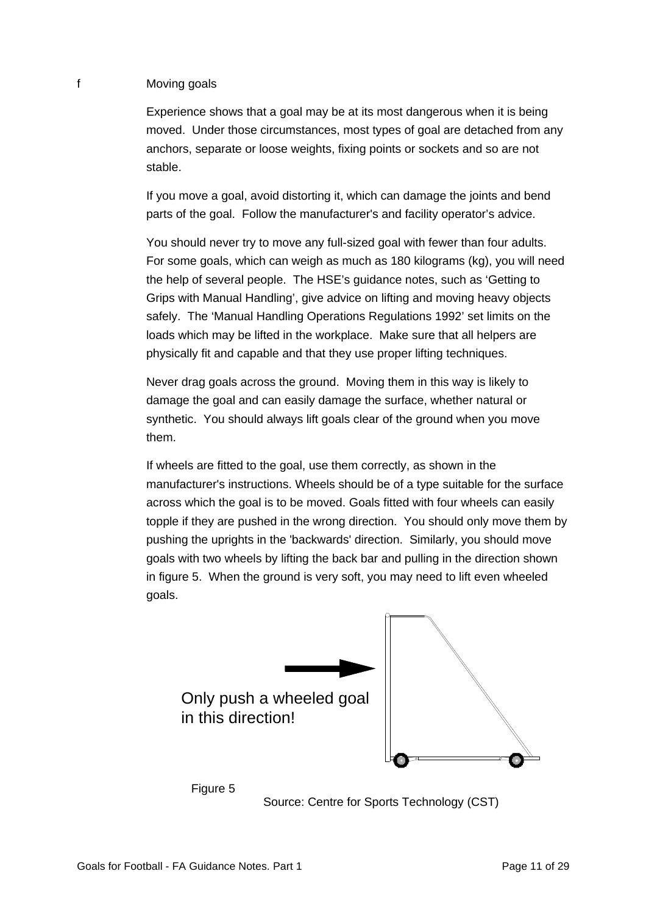## f Moving goals

Experience shows that a goal may be at its most dangerous when it is being moved. Under those circumstances, most types of goal are detached from any anchors, separate or loose weights, fixing points or sockets and so are not stable.

If you move a goal, avoid distorting it, which can damage the joints and bend parts of the goal. Follow the manufacturer's and facility operator's advice.

You should never try to move any full-sized goal with fewer than four adults. For some goals, which can weigh as much as 180 kilograms (kg), you will need the help of several people. The HSE's guidance notes, such as 'Getting to Grips with Manual Handling', give advice on lifting and moving heavy objects safely. The 'Manual Handling Operations Regulations 1992' set limits on the loads which may be lifted in the workplace. Make sure that all helpers are physically fit and capable and that they use proper lifting techniques.

Never drag goals across the ground. Moving them in this way is likely to damage the goal and can easily damage the surface, whether natural or synthetic. You should always lift goals clear of the ground when you move them.

If wheels are fitted to the goal, use them correctly, as shown in the manufacturer's instructions. Wheels should be of a type suitable for the surface across which the goal is to be moved. Goals fitted with four wheels can easily topple if they are pushed in the wrong direction. You should only move them by pushing the uprights in the 'backwards' direction. Similarly, you should move goals with two wheels by lifting the back bar and pulling in the direction shown in figure 5. When the ground is very soft, you may need to lift even wheeled goals.



Source: Centre for Sports Technology (CST)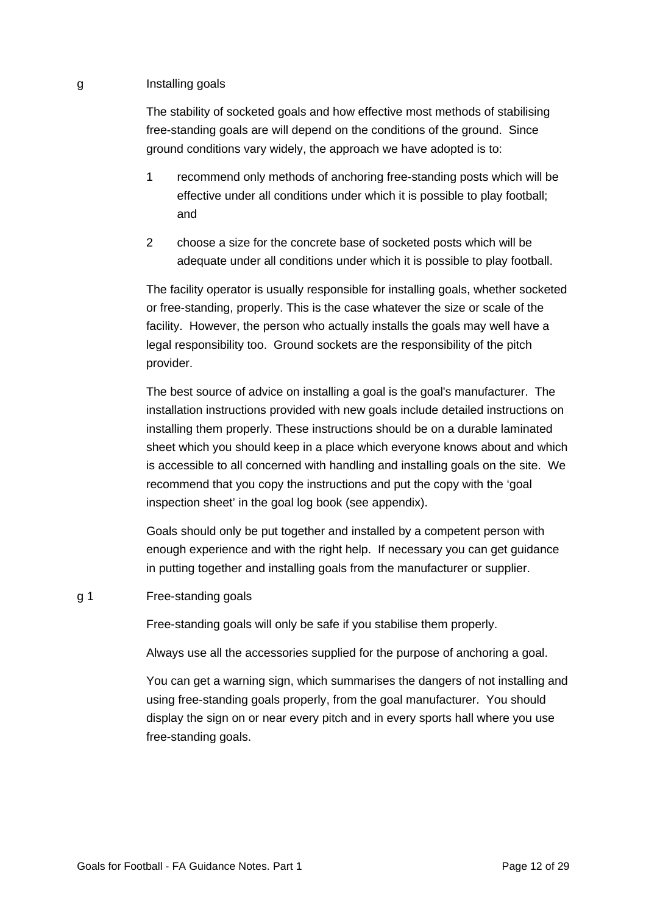#### g Installing goals

The stability of socketed goals and how effective most methods of stabilising free-standing goals are will depend on the conditions of the ground. Since ground conditions vary widely, the approach we have adopted is to:

- 1 recommend only methods of anchoring free-standing posts which will be effective under all conditions under which it is possible to play football; and
- 2 choose a size for the concrete base of socketed posts which will be adequate under all conditions under which it is possible to play football.

The facility operator is usually responsible for installing goals, whether socketed or free-standing, properly. This is the case whatever the size or scale of the facility. However, the person who actually installs the goals may well have a legal responsibility too. Ground sockets are the responsibility of the pitch provider.

The best source of advice on installing a goal is the goal's manufacturer. The installation instructions provided with new goals include detailed instructions on installing them properly. These instructions should be on a durable laminated sheet which you should keep in a place which everyone knows about and which is accessible to all concerned with handling and installing goals on the site. We recommend that you copy the instructions and put the copy with the 'goal inspection sheet' in the goal log book (see appendix).

Goals should only be put together and installed by a competent person with enough experience and with the right help. If necessary you can get guidance in putting together and installing goals from the manufacturer or supplier.

#### g 1 Free-standing goals

Free-standing goals will only be safe if you stabilise them properly.

Always use all the accessories supplied for the purpose of anchoring a goal.

You can get a warning sign, which summarises the dangers of not installing and using free-standing goals properly, from the goal manufacturer. You should display the sign on or near every pitch and in every sports hall where you use free-standing goals.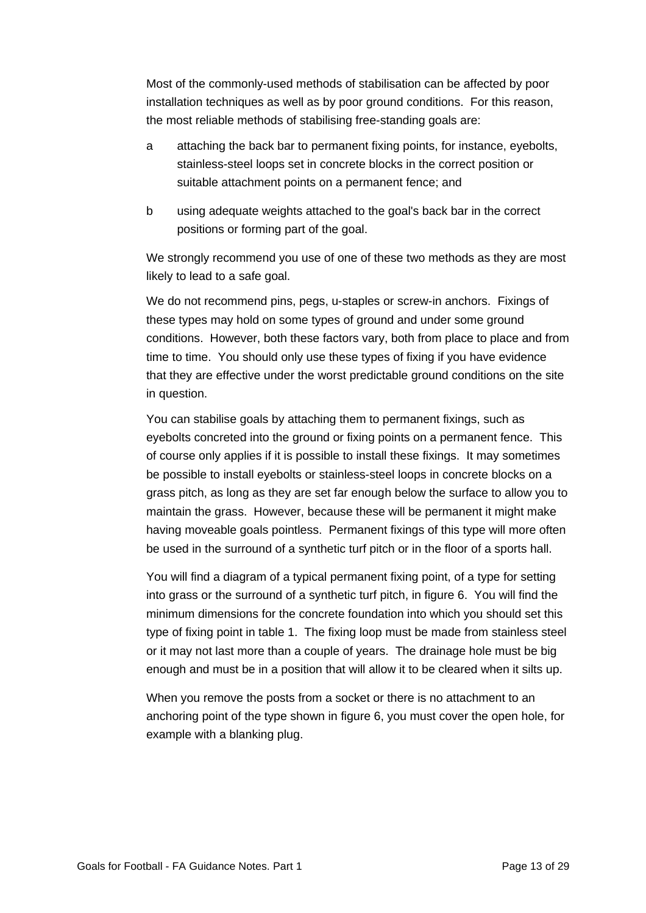Most of the commonly-used methods of stabilisation can be affected by poor installation techniques as well as by poor ground conditions. For this reason, the most reliable methods of stabilising free-standing goals are:

- a attaching the back bar to permanent fixing points, for instance, eyebolts, stainless-steel loops set in concrete blocks in the correct position or suitable attachment points on a permanent fence; and
- b using adequate weights attached to the goal's back bar in the correct positions or forming part of the goal.

We strongly recommend you use of one of these two methods as they are most likely to lead to a safe goal.

We do not recommend pins, pegs, u-staples or screw-in anchors. Fixings of these types may hold on some types of ground and under some ground conditions. However, both these factors vary, both from place to place and from time to time. You should only use these types of fixing if you have evidence that they are effective under the worst predictable ground conditions on the site in question.

You can stabilise goals by attaching them to permanent fixings, such as eyebolts concreted into the ground or fixing points on a permanent fence. This of course only applies if it is possible to install these fixings. It may sometimes be possible to install eyebolts or stainless-steel loops in concrete blocks on a grass pitch, as long as they are set far enough below the surface to allow you to maintain the grass. However, because these will be permanent it might make having moveable goals pointless. Permanent fixings of this type will more often be used in the surround of a synthetic turf pitch or in the floor of a sports hall.

You will find a diagram of a typical permanent fixing point, of a type for setting into grass or the surround of a synthetic turf pitch, in figure 6. You will find the minimum dimensions for the concrete foundation into which you should set this type of fixing point in table 1. The fixing loop must be made from stainless steel or it may not last more than a couple of years. The drainage hole must be big enough and must be in a position that will allow it to be cleared when it silts up.

When you remove the posts from a socket or there is no attachment to an anchoring point of the type shown in figure 6, you must cover the open hole, for example with a blanking plug.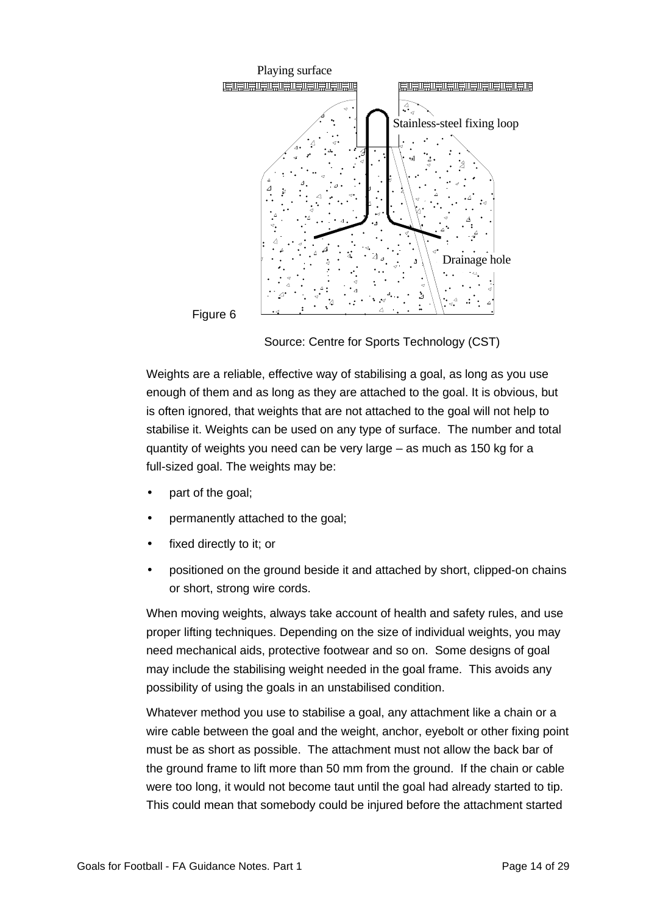

Source: Centre for Sports Technology (CST)

Weights are a reliable, effective way of stabilising a goal, as long as you use enough of them and as long as they are attached to the goal. It is obvious, but is often ignored, that weights that are not attached to the goal will not help to stabilise it. Weights can be used on any type of surface. The number and total quantity of weights you need can be very large – as much as 150 kg for a full-sized goal. The weights may be:

- part of the goal;
- permanently attached to the goal;
- fixed directly to it; or
- positioned on the ground beside it and attached by short, clipped-on chains or short, strong wire cords.

When moving weights, always take account of health and safety rules, and use proper lifting techniques. Depending on the size of individual weights, you may need mechanical aids, protective footwear and so on. Some designs of goal may include the stabilising weight needed in the goal frame. This avoids any possibility of using the goals in an unstabilised condition.

Whatever method you use to stabilise a goal, any attachment like a chain or a wire cable between the goal and the weight, anchor, eyebolt or other fixing point must be as short as possible. The attachment must not allow the back bar of the ground frame to lift more than 50 mm from the ground. If the chain or cable were too long, it would not become taut until the goal had already started to tip. This could mean that somebody could be injured before the attachment started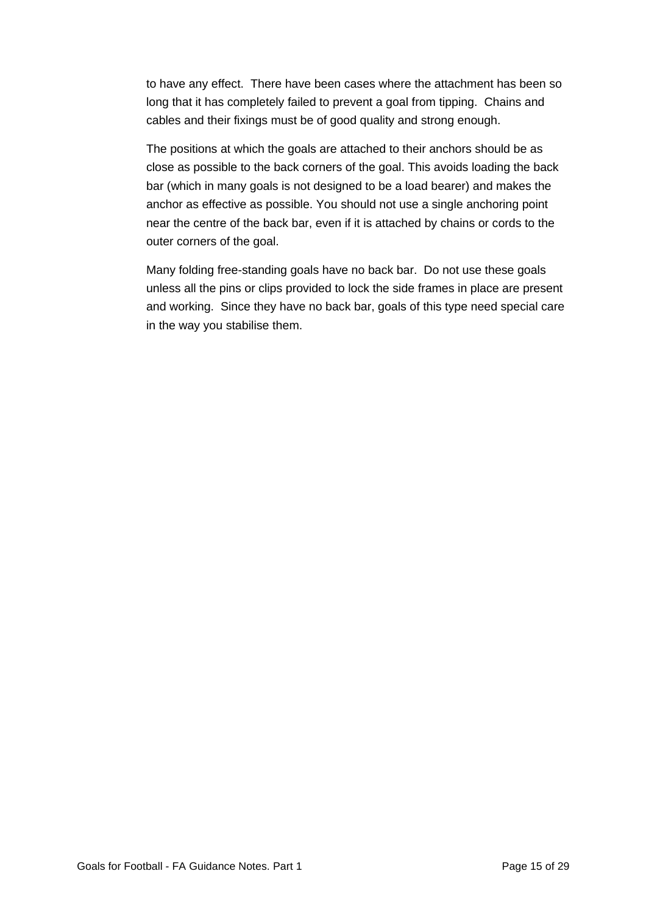to have any effect. There have been cases where the attachment has been so long that it has completely failed to prevent a goal from tipping. Chains and cables and their fixings must be of good quality and strong enough.

The positions at which the goals are attached to their anchors should be as close as possible to the back corners of the goal. This avoids loading the back bar (which in many goals is not designed to be a load bearer) and makes the anchor as effective as possible. You should not use a single anchoring point near the centre of the back bar, even if it is attached by chains or cords to the outer corners of the goal.

Many folding free-standing goals have no back bar. Do not use these goals unless all the pins or clips provided to lock the side frames in place are present and working. Since they have no back bar, goals of this type need special care in the way you stabilise them.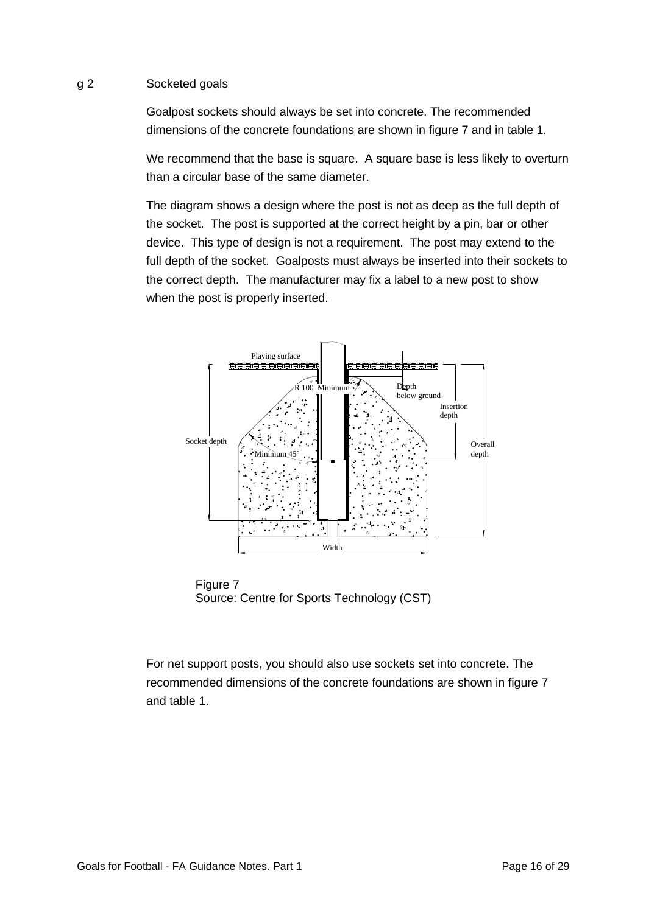## g 2 Socketed goals

Goalpost sockets should always be set into concrete. The recommended dimensions of the concrete foundations are shown in figure 7 and in table 1.

We recommend that the base is square. A square base is less likely to overturn than a circular base of the same diameter.

The diagram shows a design where the post is not as deep as the full depth of the socket. The post is supported at the correct height by a pin, bar or other device. This type of design is not a requirement. The post may extend to the full depth of the socket. Goalposts must always be inserted into their sockets to the correct depth. The manufacturer may fix a label to a new post to show when the post is properly inserted.



Figure 7 Source: Centre for Sports Technology (CST)

For net support posts, you should also use sockets set into concrete. The recommended dimensions of the concrete foundations are shown in figure 7 and table 1.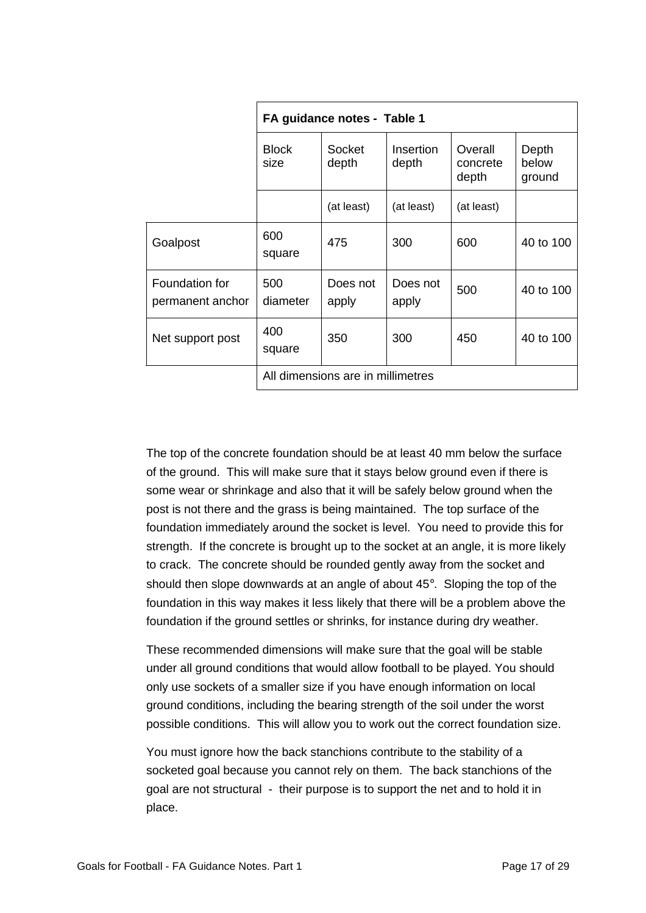|                                    | FA guidance notes - Table 1       |                   |                           |                              |                          |
|------------------------------------|-----------------------------------|-------------------|---------------------------|------------------------------|--------------------------|
|                                    | <b>Block</b><br>size              | Socket<br>depth   | <b>Insertion</b><br>depth | Overall<br>concrete<br>depth | Depth<br>below<br>ground |
|                                    |                                   | (at least)        | (at least)                | (at least)                   |                          |
| Goalpost                           | 600<br>square                     | 475               | 300                       | 600                          | 40 to 100                |
| Foundation for<br>permanent anchor | 500<br>diameter                   | Does not<br>apply | Does not<br>apply         | 500                          | 40 to 100                |
| Net support post                   | 400<br>square                     | 350               | 300                       | 450                          | 40 to 100                |
|                                    | All dimensions are in millimetres |                   |                           |                              |                          |

The top of the concrete foundation should be at least 40 mm below the surface of the ground. This will make sure that it stays below ground even if there is some wear or shrinkage and also that it will be safely below ground when the post is not there and the grass is being maintained. The top surface of the foundation immediately around the socket is level. You need to provide this for strength. If the concrete is brought up to the socket at an angle, it is more likely to crack. The concrete should be rounded gently away from the socket and should then slope downwards at an angle of about 45°. Sloping the top of the foundation in this way makes it less likely that there will be a problem above the foundation if the ground settles or shrinks, for instance during dry weather.

These recommended dimensions will make sure that the goal will be stable under all ground conditions that would allow football to be played. You should only use sockets of a smaller size if you have enough information on local ground conditions, including the bearing strength of the soil under the worst possible conditions. This will allow you to work out the correct foundation size.

You must ignore how the back stanchions contribute to the stability of a socketed goal because you cannot rely on them. The back stanchions of the goal are not structural - their purpose is to support the net and to hold it in place.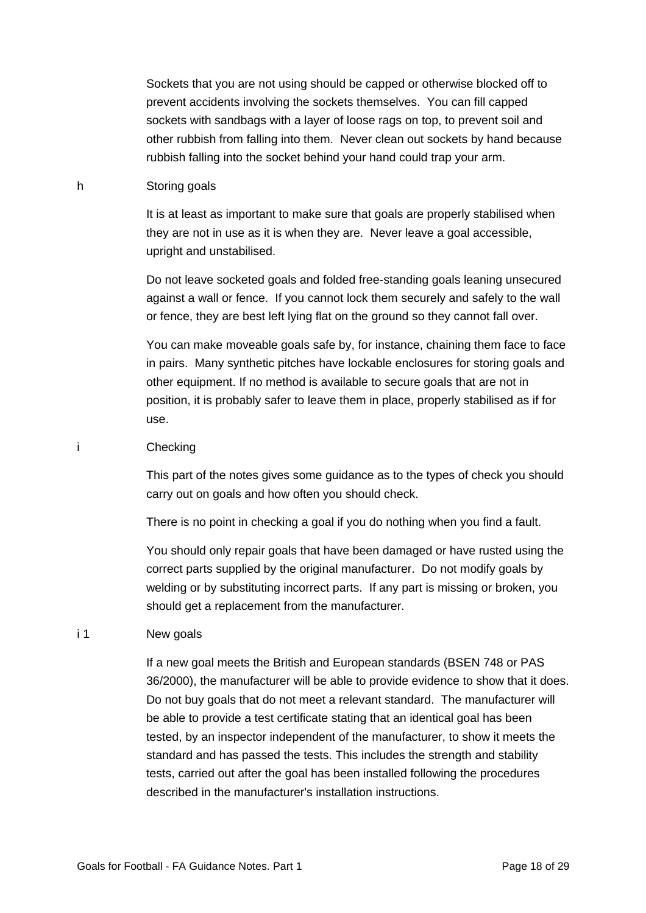Sockets that you are not using should be capped or otherwise blocked off to prevent accidents involving the sockets themselves. You can fill capped sockets with sandbags with a layer of loose rags on top, to prevent soil and other rubbish from falling into them. Never clean out sockets by hand because rubbish falling into the socket behind your hand could trap your arm.

#### h Storing goals

It is at least as important to make sure that goals are properly stabilised when they are not in use as it is when they are. Never leave a goal accessible, upright and unstabilised.

Do not leave socketed goals and folded free-standing goals leaning unsecured against a wall or fence. If you cannot lock them securely and safely to the wall or fence, they are best left lying flat on the ground so they cannot fall over.

You can make moveable goals safe by, for instance, chaining them face to face in pairs. Many synthetic pitches have lockable enclosures for storing goals and other equipment. If no method is available to secure goals that are not in position, it is probably safer to leave them in place, properly stabilised as if for use.

### i Checking

This part of the notes gives some guidance as to the types of check you should carry out on goals and how often you should check.

There is no point in checking a goal if you do nothing when you find a fault.

You should only repair goals that have been damaged or have rusted using the correct parts supplied by the original manufacturer. Do not modify goals by welding or by substituting incorrect parts. If any part is missing or broken, you should get a replacement from the manufacturer.

# i 1 New goals

If a new goal meets the British and European standards (BSEN 748 or PAS 36/2000), the manufacturer will be able to provide evidence to show that it does. Do not buy goals that do not meet a relevant standard. The manufacturer will be able to provide a test certificate stating that an identical goal has been tested, by an inspector independent of the manufacturer, to show it meets the standard and has passed the tests. This includes the strength and stability tests, carried out after the goal has been installed following the procedures described in the manufacturer's installation instructions.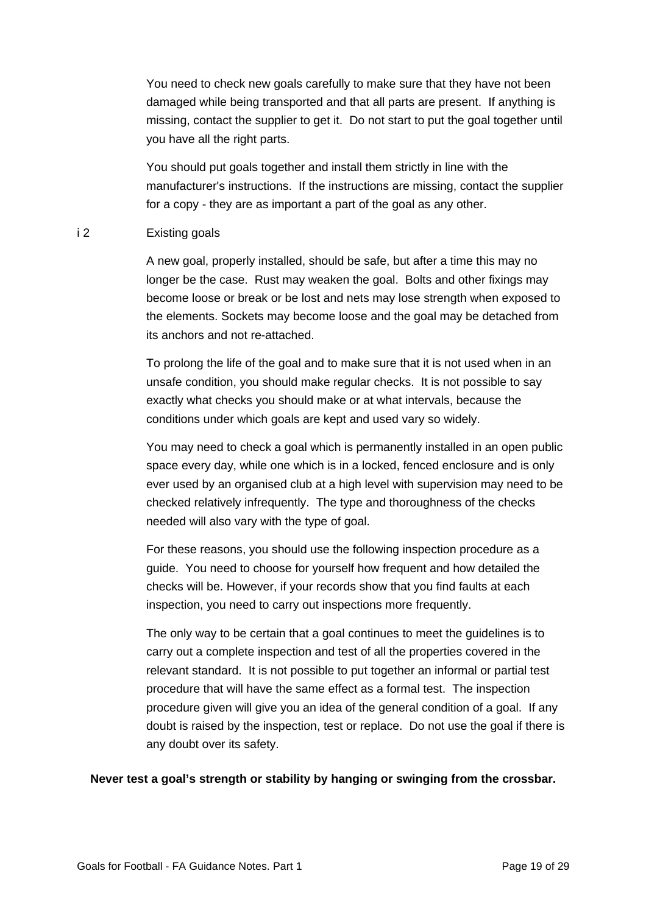You need to check new goals carefully to make sure that they have not been damaged while being transported and that all parts are present. If anything is missing, contact the supplier to get it. Do not start to put the goal together until you have all the right parts.

You should put goals together and install them strictly in line with the manufacturer's instructions. If the instructions are missing, contact the supplier for a copy - they are as important a part of the goal as any other.

## i 2 Existing goals

A new goal, properly installed, should be safe, but after a time this may no longer be the case. Rust may weaken the goal. Bolts and other fixings may become loose or break or be lost and nets may lose strength when exposed to the elements. Sockets may become loose and the goal may be detached from its anchors and not re-attached.

To prolong the life of the goal and to make sure that it is not used when in an unsafe condition, you should make regular checks. It is not possible to say exactly what checks you should make or at what intervals, because the conditions under which goals are kept and used vary so widely.

You may need to check a goal which is permanently installed in an open public space every day, while one which is in a locked, fenced enclosure and is only ever used by an organised club at a high level with supervision may need to be checked relatively infrequently. The type and thoroughness of the checks needed will also vary with the type of goal.

For these reasons, you should use the following inspection procedure as a guide. You need to choose for yourself how frequent and how detailed the checks will be. However, if your records show that you find faults at each inspection, you need to carry out inspections more frequently.

The only way to be certain that a goal continues to meet the guidelines is to carry out a complete inspection and test of all the properties covered in the relevant standard. It is not possible to put together an informal or partial test procedure that will have the same effect as a formal test. The inspection procedure given will give you an idea of the general condition of a goal. If any doubt is raised by the inspection, test or replace. Do not use the goal if there is any doubt over its safety.

## **Never test a goal's strength or stability by hanging or swinging from the crossbar.**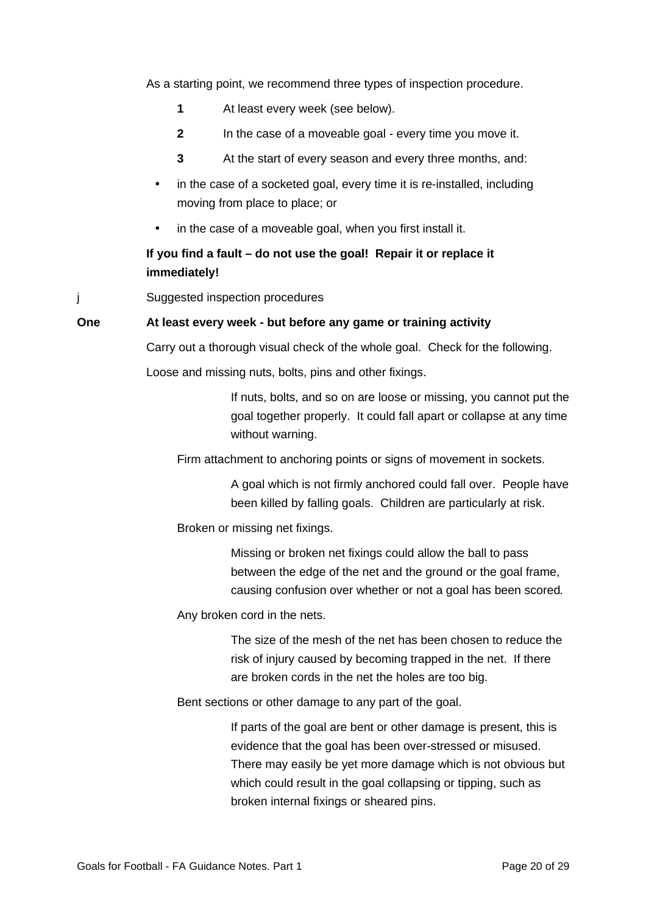As a starting point, we recommend three types of inspection procedure.

- **1** At least every week (see below).
- **2** In the case of a moveable goal every time you move it.
- **3** At the start of every season and every three months, and:
- in the case of a socketed goal, every time it is re-installed, including moving from place to place; or
- in the case of a moveable goal, when you first install it.

# **If you find a fault – do not use the goal! Repair it or replace it immediately!**

j Suggested inspection procedures

## **One At least every week - but before any game or training activity**

Carry out a thorough visual check of the whole goal. Check for the following. Loose and missing nuts, bolts, pins and other fixings.

> If nuts, bolts, and so on are loose or missing, you cannot put the goal together properly. It could fall apart or collapse at any time without warning.

Firm attachment to anchoring points or signs of movement in sockets.

A goal which is not firmly anchored could fall over. People have been killed by falling goals. Children are particularly at risk.

Broken or missing net fixings.

Missing or broken net fixings could allow the ball to pass between the edge of the net and the ground or the goal frame, causing confusion over whether or not a goal has been scored*.*

Any broken cord in the nets.

The size of the mesh of the net has been chosen to reduce the risk of injury caused by becoming trapped in the net. If there are broken cords in the net the holes are too big.

Bent sections or other damage to any part of the goal.

If parts of the goal are bent or other damage is present, this is evidence that the goal has been over-stressed or misused. There may easily be yet more damage which is not obvious but which could result in the goal collapsing or tipping, such as broken internal fixings or sheared pins.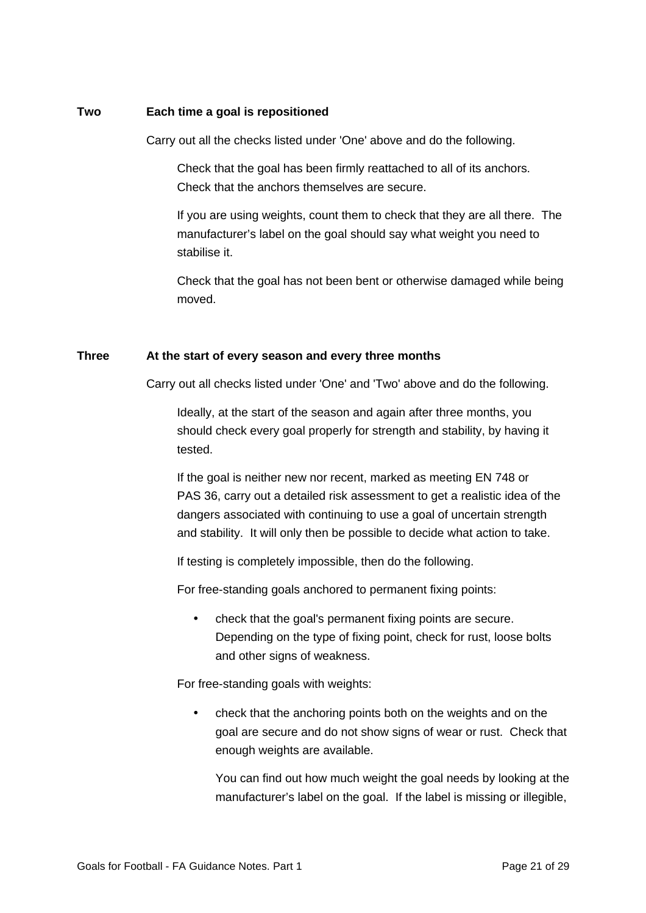## **Two Each time a goal is repositioned**

Carry out all the checks listed under 'One' above and do the following.

Check that the goal has been firmly reattached to all of its anchors. Check that the anchors themselves are secure.

If you are using weights, count them to check that they are all there. The manufacturer's label on the goal should say what weight you need to stabilise it.

Check that the goal has not been bent or otherwise damaged while being moved.

## **Three At the start of every season and every three months**

Carry out all checks listed under 'One' and 'Two' above and do the following.

Ideally, at the start of the season and again after three months, you should check every goal properly for strength and stability, by having it tested.

If the goal is neither new nor recent, marked as meeting EN 748 or PAS 36, carry out a detailed risk assessment to get a realistic idea of the dangers associated with continuing to use a goal of uncertain strength and stability. It will only then be possible to decide what action to take.

If testing is completely impossible, then do the following.

For free-standing goals anchored to permanent fixing points:

• check that the goal's permanent fixing points are secure. Depending on the type of fixing point, check for rust, loose bolts and other signs of weakness.

For free-standing goals with weights:

• check that the anchoring points both on the weights and on the goal are secure and do not show signs of wear or rust. Check that enough weights are available.

You can find out how much weight the goal needs by looking at the manufacturer's label on the goal. If the label is missing or illegible,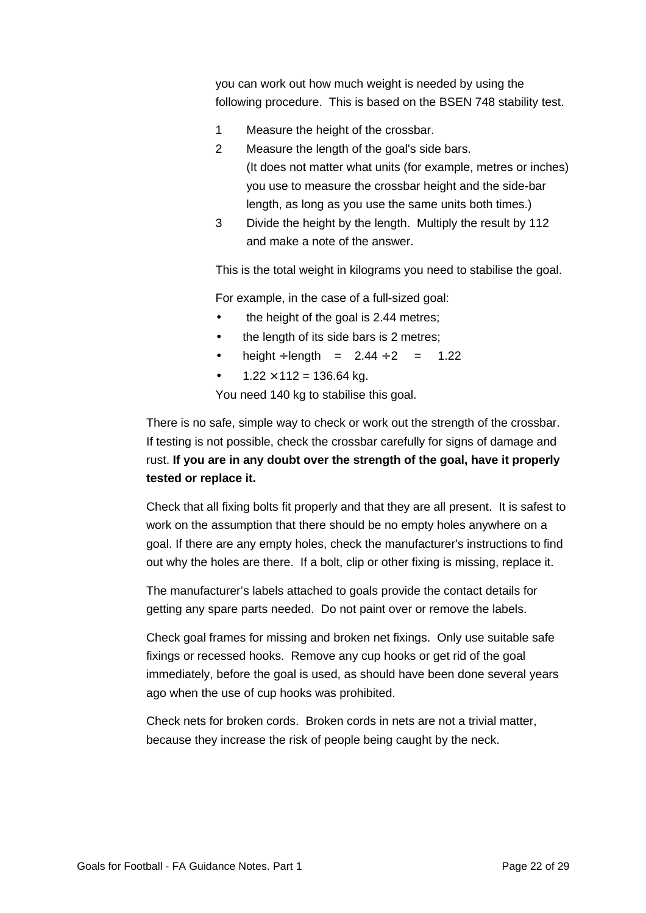you can work out how much weight is needed by using the following procedure. This is based on the BSEN 748 stability test.

- 1 Measure the height of the crossbar.
- 2 Measure the length of the goal's side bars. (It does not matter what units (for example, metres or inches) you use to measure the crossbar height and the side-bar length, as long as you use the same units both times.)
- 3 Divide the height by the length. Multiply the result by 112 and make a note of the answer.

This is the total weight in kilograms you need to stabilise the goal.

For example, in the case of a full-sized goal:

- the height of the goal is 2.44 metres;
- the length of its side bars is 2 metres;
- height ÷ length =  $2.44 \div 2 = 1.22$
- $1.22 \times 112 = 136.64$  kg.

You need 140 kg to stabilise this goal.

There is no safe, simple way to check or work out the strength of the crossbar. If testing is not possible, check the crossbar carefully for signs of damage and rust. **If you are in any doubt over the strength of the goal, have it properly tested or replace it.**

Check that all fixing bolts fit properly and that they are all present. It is safest to work on the assumption that there should be no empty holes anywhere on a goal. If there are any empty holes, check the manufacturer's instructions to find out why the holes are there. If a bolt, clip or other fixing is missing, replace it.

The manufacturer's labels attached to goals provide the contact details for getting any spare parts needed. Do not paint over or remove the labels.

Check goal frames for missing and broken net fixings. Only use suitable safe fixings or recessed hooks. Remove any cup hooks or get rid of the goal immediately, before the goal is used, as should have been done several years ago when the use of cup hooks was prohibited.

Check nets for broken cords. Broken cords in nets are not a trivial matter, because they increase the risk of people being caught by the neck.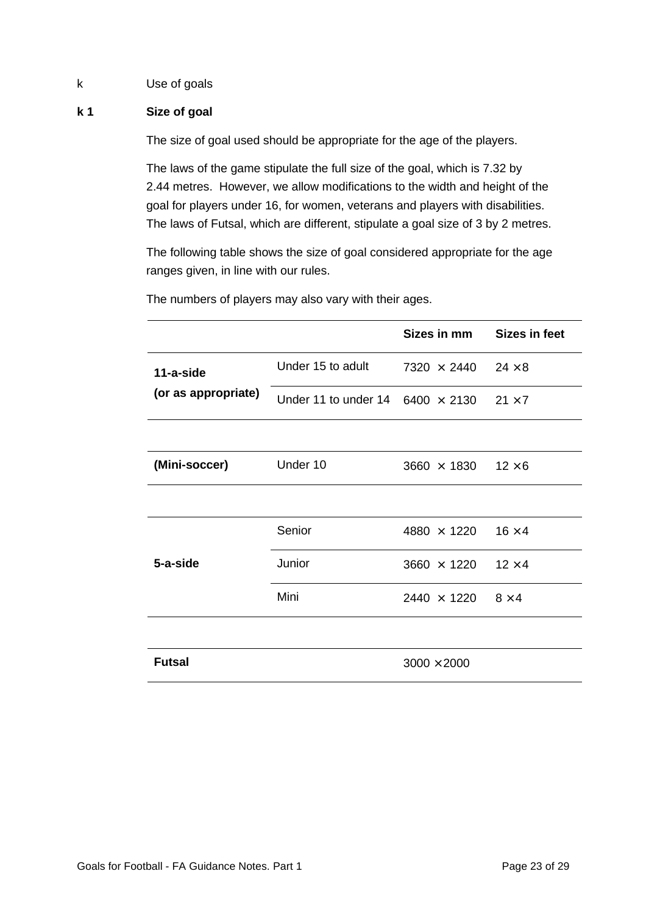# k Use of goals

# **k 1 Size of goal**

The size of goal used should be appropriate for the age of the players.

The laws of the game stipulate the full size of the goal, which is 7.32 by 2.44 metres. However, we allow modifications to the width and height of the goal for players under 16, for women, veterans and players with disabilities. The laws of Futsal, which are different, stipulate a goal size of 3 by 2 metres.

The following table shows the size of goal considered appropriate for the age ranges given, in line with our rules.

|                     |                      | Sizes in mm                      | <b>Sizes in feet</b> |
|---------------------|----------------------|----------------------------------|----------------------|
| 11-a-side           | Under 15 to adult    | $7320 \times 2440$               | $24 \times 8$        |
| (or as appropriate) | Under 11 to under 14 | $6400 \times 2130$ $21 \times 7$ |                      |
|                     |                      |                                  |                      |
| (Mini-soccer)       | Under 10             | $3660 \times 1830$               | $12\times 6$         |
|                     |                      |                                  |                      |
|                     | Senior               | $4880 \times 1220$               | $16 \times 4$        |
| 5-a-side            | Junior               | $3660 \times 1220$               | $12 \times 4$        |
|                     | Mini                 | $2440 \times 1220$ $8 \times 4$  |                      |
|                     |                      |                                  |                      |
| <b>Futsal</b>       |                      | $3000 \times 2000$               |                      |

The numbers of players may also vary with their ages.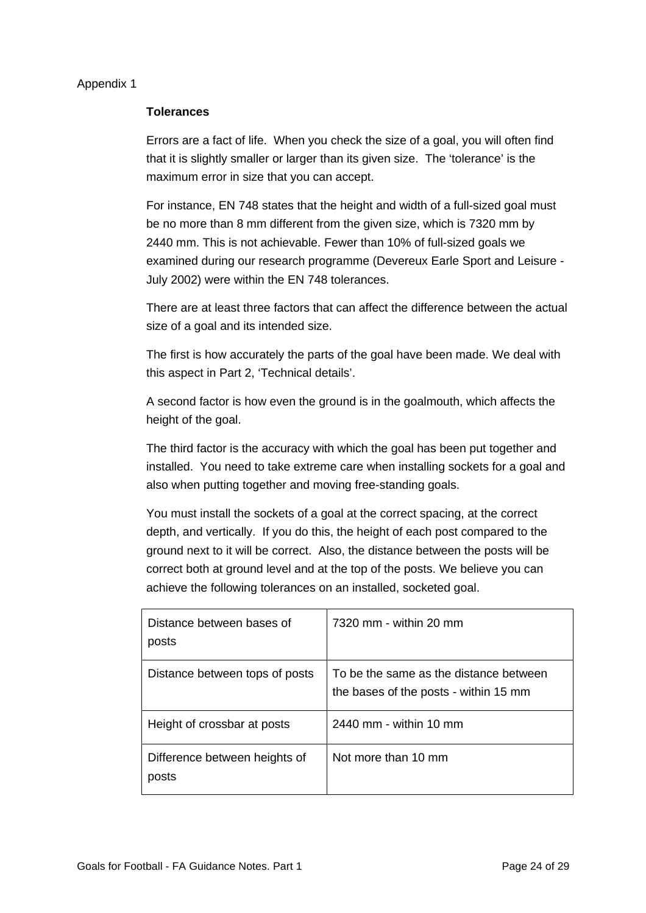## Appendix 1

#### **Tolerances**

Errors are a fact of life. When you check the size of a goal, you will often find that it is slightly smaller or larger than its given size. The 'tolerance' is the maximum error in size that you can accept.

For instance, EN 748 states that the height and width of a full-sized goal must be no more than 8 mm different from the given size, which is 7320 mm by 2440 mm. This is not achievable. Fewer than 10% of full-sized goals we examined during our research programme (Devereux Earle Sport and Leisure - July 2002) were within the EN 748 tolerances.

There are at least three factors that can affect the difference between the actual size of a goal and its intended size.

The first is how accurately the parts of the goal have been made. We deal with this aspect in Part 2, 'Technical details'.

A second factor is how even the ground is in the goalmouth, which affects the height of the goal.

The third factor is the accuracy with which the goal has been put together and installed. You need to take extreme care when installing sockets for a goal and also when putting together and moving free-standing goals.

You must install the sockets of a goal at the correct spacing, at the correct depth, and vertically. If you do this, the height of each post compared to the ground next to it will be correct. Also, the distance between the posts will be correct both at ground level and at the top of the posts. We believe you can achieve the following tolerances on an installed, socketed goal.

| Distance between bases of<br>posts     | 7320 mm - within 20 mm                                                          |
|----------------------------------------|---------------------------------------------------------------------------------|
| Distance between tops of posts         | To be the same as the distance between<br>the bases of the posts - within 15 mm |
| Height of crossbar at posts            | 2440 mm - within 10 mm                                                          |
| Difference between heights of<br>posts | Not more than 10 mm                                                             |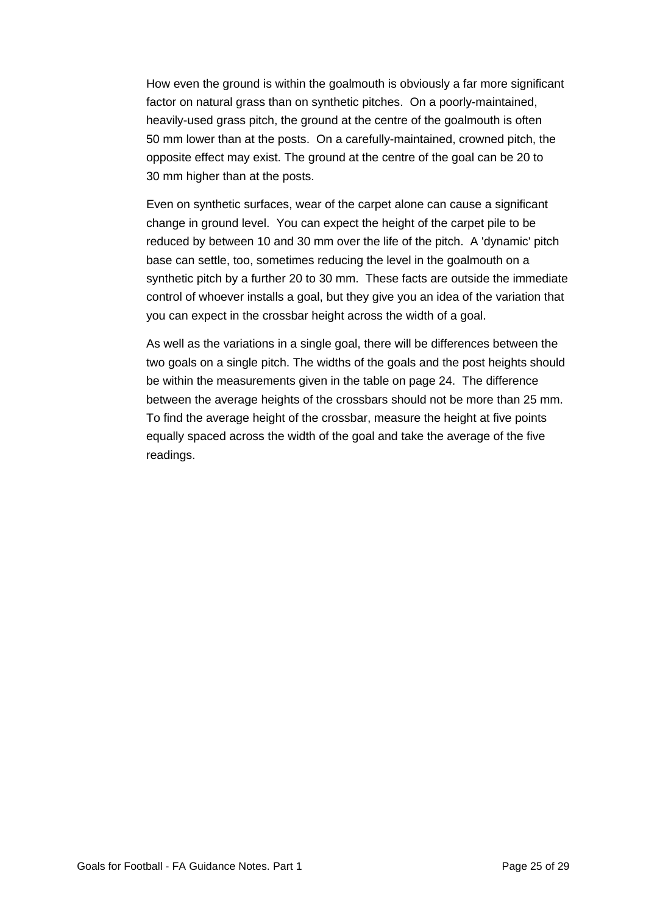How even the ground is within the goalmouth is obviously a far more significant factor on natural grass than on synthetic pitches. On a poorly-maintained, heavily-used grass pitch, the ground at the centre of the goalmouth is often 50 mm lower than at the posts. On a carefully-maintained, crowned pitch, the opposite effect may exist. The ground at the centre of the goal can be 20 to 30 mm higher than at the posts.

Even on synthetic surfaces, wear of the carpet alone can cause a significant change in ground level. You can expect the height of the carpet pile to be reduced by between 10 and 30 mm over the life of the pitch. A 'dynamic' pitch base can settle, too, sometimes reducing the level in the goalmouth on a synthetic pitch by a further 20 to 30 mm. These facts are outside the immediate control of whoever installs a goal, but they give you an idea of the variation that you can expect in the crossbar height across the width of a goal.

As well as the variations in a single goal, there will be differences between the two goals on a single pitch. The widths of the goals and the post heights should be within the measurements given in the table on page 24. The difference between the average heights of the crossbars should not be more than 25 mm. To find the average height of the crossbar, measure the height at five points equally spaced across the width of the goal and take the average of the five readings.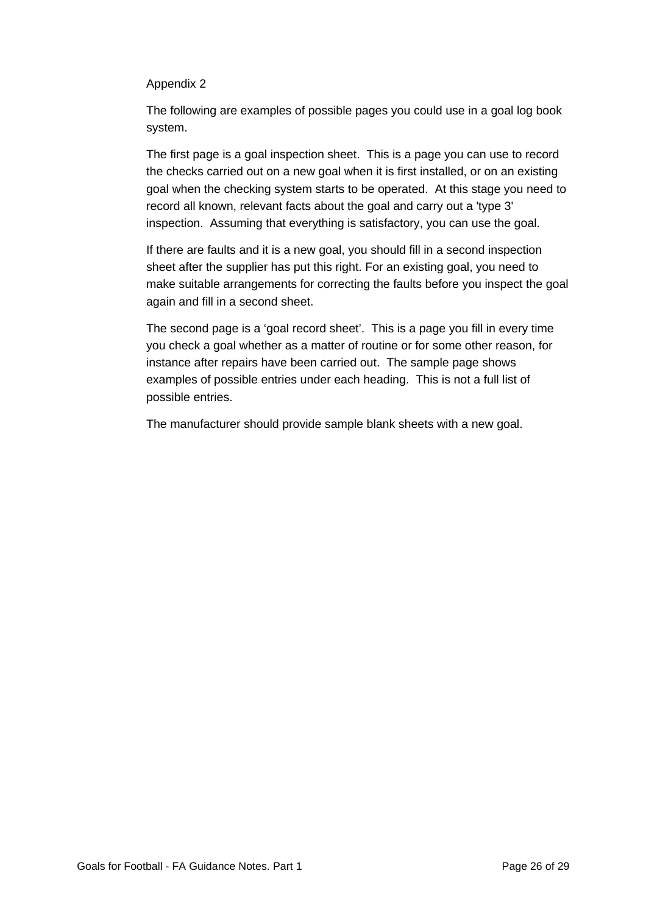# Appendix 2

The following are examples of possible pages you could use in a goal log book system.

The first page is a goal inspection sheet. This is a page you can use to record the checks carried out on a new goal when it is first installed, or on an existing goal when the checking system starts to be operated. At this stage you need to record all known, relevant facts about the goal and carry out a 'type 3' inspection. Assuming that everything is satisfactory, you can use the goal.

If there are faults and it is a new goal, you should fill in a second inspection sheet after the supplier has put this right. For an existing goal, you need to make suitable arrangements for correcting the faults before you inspect the goal again and fill in a second sheet.

The second page is a 'goal record sheet'. This is a page you fill in every time you check a goal whether as a matter of routine or for some other reason, for instance after repairs have been carried out. The sample page shows examples of possible entries under each heading. This is not a full list of possible entries.

The manufacturer should provide sample blank sheets with a new goal.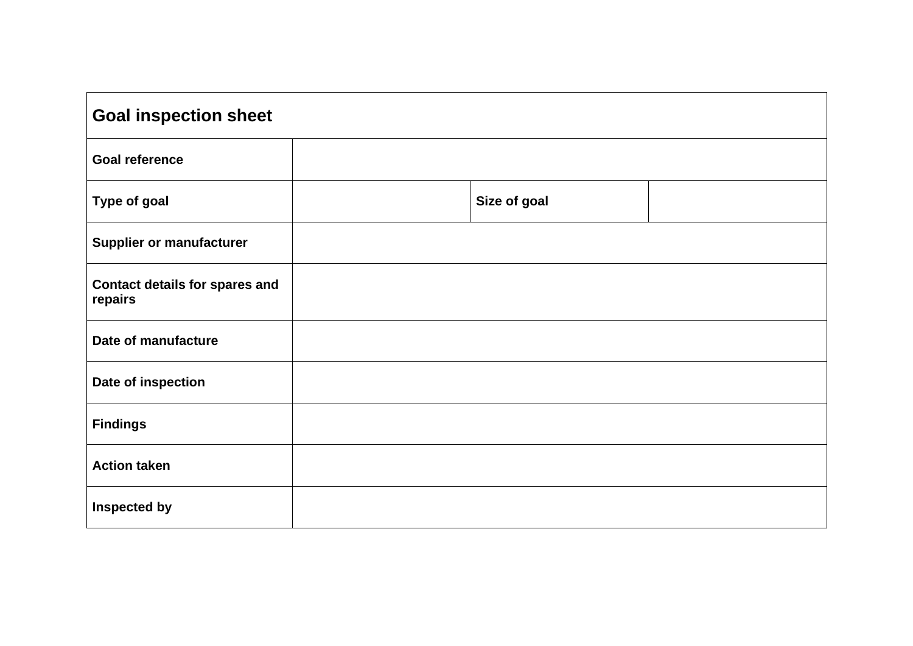| <b>Goal inspection sheet</b>                     |              |  |  |  |  |
|--------------------------------------------------|--------------|--|--|--|--|
| <b>Goal reference</b>                            |              |  |  |  |  |
| <b>Type of goal</b>                              | Size of goal |  |  |  |  |
| <b>Supplier or manufacturer</b>                  |              |  |  |  |  |
| <b>Contact details for spares and</b><br>repairs |              |  |  |  |  |
| Date of manufacture                              |              |  |  |  |  |
| Date of inspection                               |              |  |  |  |  |
| <b>Findings</b>                                  |              |  |  |  |  |
| <b>Action taken</b>                              |              |  |  |  |  |
| <b>Inspected by</b>                              |              |  |  |  |  |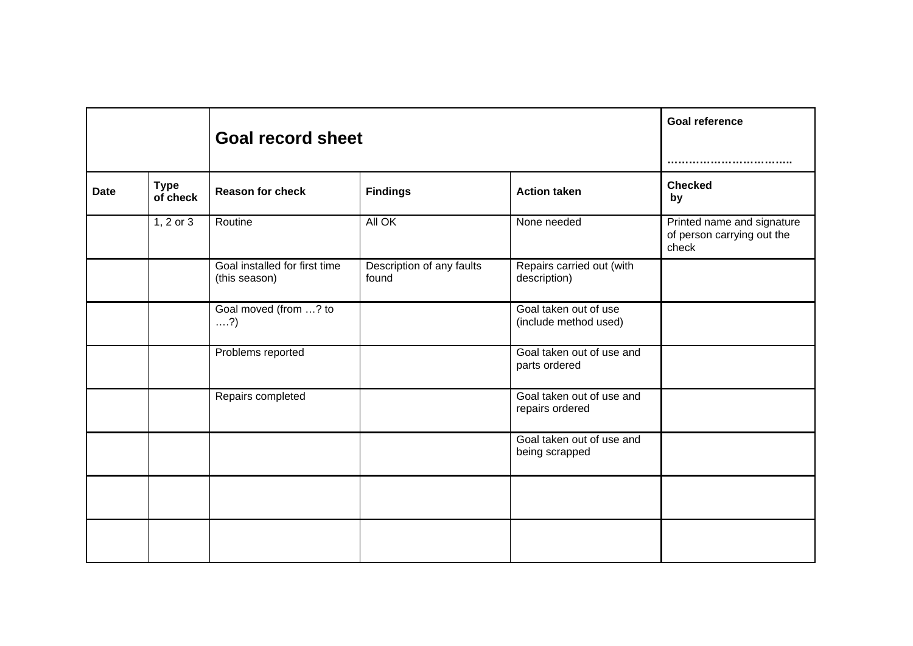|             |                         | <b>Goal record sheet</b>                       |                                    |                                                | <b>Goal reference</b><br>                                         |
|-------------|-------------------------|------------------------------------------------|------------------------------------|------------------------------------------------|-------------------------------------------------------------------|
| <b>Date</b> | <b>Type</b><br>of check | <b>Reason for check</b>                        | <b>Findings</b>                    | <b>Action taken</b>                            | <b>Checked</b><br>by                                              |
|             | $1, 2$ or $3$           | Routine                                        | All OK                             | None needed                                    | Printed name and signature<br>of person carrying out the<br>check |
|             |                         | Goal installed for first time<br>(this season) | Description of any faults<br>found | Repairs carried out (with<br>description)      |                                                                   |
|             |                         | Goal moved (from ? to<br>$\dots$ ?)            |                                    | Goal taken out of use<br>(include method used) |                                                                   |
|             |                         | Problems reported                              |                                    | Goal taken out of use and<br>parts ordered     |                                                                   |
|             |                         | Repairs completed                              |                                    | Goal taken out of use and<br>repairs ordered   |                                                                   |
|             |                         |                                                |                                    | Goal taken out of use and<br>being scrapped    |                                                                   |
|             |                         |                                                |                                    |                                                |                                                                   |
|             |                         |                                                |                                    |                                                |                                                                   |